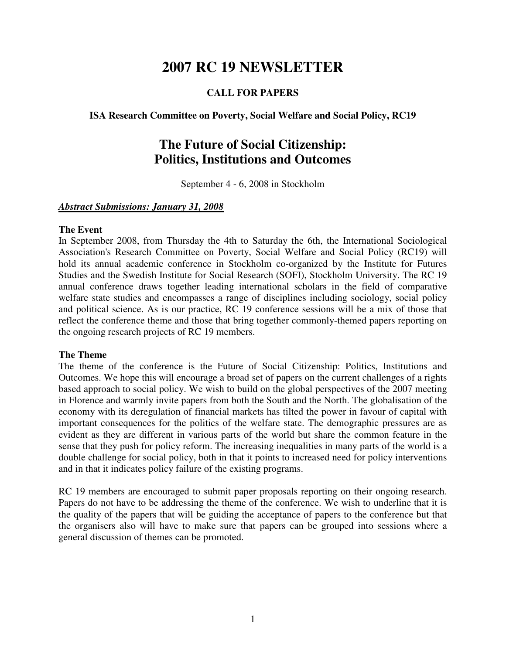# **2007 RC 19 NEWSLETTER**

# **CALL FOR PAPERS**

# **ISA Research Committee on Poverty, Social Welfare and Social Policy, RC19**

# **The Future of Social Citizenship: Politics, Institutions and Outcomes**

September 4 - 6, 2008 in Stockholm

# *Abstract Submissions: January 31, 2008*

#### **The Event**

In September 2008, from Thursday the 4th to Saturday the 6th, the International Sociological Association's Research Committee on Poverty, Social Welfare and Social Policy (RC19) will hold its annual academic conference in Stockholm co-organized by the Institute for Futures Studies and the Swedish Institute for Social Research (SOFI), Stockholm University. The RC 19 annual conference draws together leading international scholars in the field of comparative welfare state studies and encompasses a range of disciplines including sociology, social policy and political science. As is our practice, RC 19 conference sessions will be a mix of those that reflect the conference theme and those that bring together commonly-themed papers reporting on the ongoing research projects of RC 19 members.

## **The Theme**

The theme of the conference is the Future of Social Citizenship: Politics, Institutions and Outcomes. We hope this will encourage a broad set of papers on the current challenges of a rights based approach to social policy. We wish to build on the global perspectives of the 2007 meeting in Florence and warmly invite papers from both the South and the North. The globalisation of the economy with its deregulation of financial markets has tilted the power in favour of capital with important consequences for the politics of the welfare state. The demographic pressures are as evident as they are different in various parts of the world but share the common feature in the sense that they push for policy reform. The increasing inequalities in many parts of the world is a double challenge for social policy, both in that it points to increased need for policy interventions and in that it indicates policy failure of the existing programs.

RC 19 members are encouraged to submit paper proposals reporting on their ongoing research. Papers do not have to be addressing the theme of the conference. We wish to underline that it is the quality of the papers that will be guiding the acceptance of papers to the conference but that the organisers also will have to make sure that papers can be grouped into sessions where a general discussion of themes can be promoted.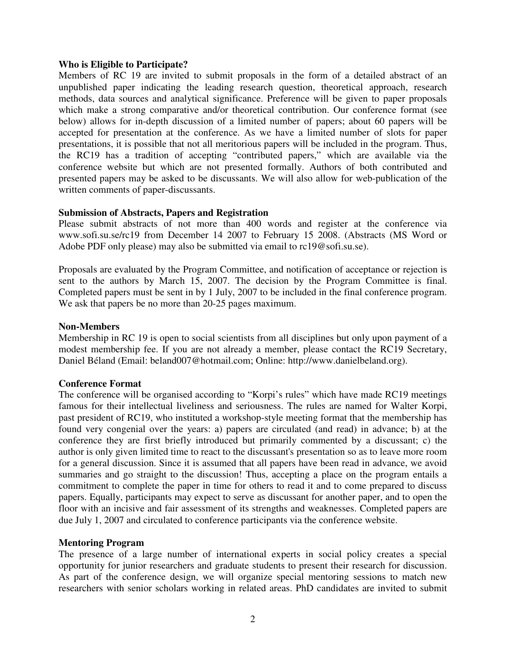### **Who is Eligible to Participate?**

Members of RC 19 are invited to submit proposals in the form of a detailed abstract of an unpublished paper indicating the leading research question, theoretical approach, research methods, data sources and analytical significance. Preference will be given to paper proposals which make a strong comparative and/or theoretical contribution. Our conference format (see below) allows for in-depth discussion of a limited number of papers; about 60 papers will be accepted for presentation at the conference. As we have a limited number of slots for paper presentations, it is possible that not all meritorious papers will be included in the program. Thus, the RC19 has a tradition of accepting "contributed papers," which are available via the conference website but which are not presented formally. Authors of both contributed and presented papers may be asked to be discussants. We will also allow for web-publication of the written comments of paper-discussants.

#### **Submission of Abstracts, Papers and Registration**

Please submit abstracts of not more than 400 words and register at the conference via www.sofi.su.se/rc19 from December 14 2007 to February 15 2008. (Abstracts (MS Word or Adobe PDF only please) may also be submitted via email to rc19@sofi.su.se).

Proposals are evaluated by the Program Committee, and notification of acceptance or rejection is sent to the authors by March 15, 2007. The decision by the Program Committee is final. Completed papers must be sent in by 1 July, 2007 to be included in the final conference program. We ask that papers be no more than 20-25 pages maximum.

#### **Non-Members**

Membership in RC 19 is open to social scientists from all disciplines but only upon payment of a modest membership fee. If you are not already a member, please contact the RC19 Secretary, Daniel Béland (Email: beland007@hotmail.com; Online: http://www.danielbeland.org).

#### **Conference Format**

The conference will be organised according to "Korpi's rules" which have made RC19 meetings famous for their intellectual liveliness and seriousness. The rules are named for Walter Korpi, past president of RC19, who instituted a workshop-style meeting format that the membership has found very congenial over the years: a) papers are circulated (and read) in advance; b) at the conference they are first briefly introduced but primarily commented by a discussant; c) the author is only given limited time to react to the discussant's presentation so as to leave more room for a general discussion. Since it is assumed that all papers have been read in advance, we avoid summaries and go straight to the discussion! Thus, accepting a place on the program entails a commitment to complete the paper in time for others to read it and to come prepared to discuss papers. Equally, participants may expect to serve as discussant for another paper, and to open the floor with an incisive and fair assessment of its strengths and weaknesses. Completed papers are due July 1, 2007 and circulated to conference participants via the conference website.

#### **Mentoring Program**

The presence of a large number of international experts in social policy creates a special opportunity for junior researchers and graduate students to present their research for discussion. As part of the conference design, we will organize special mentoring sessions to match new researchers with senior scholars working in related areas. PhD candidates are invited to submit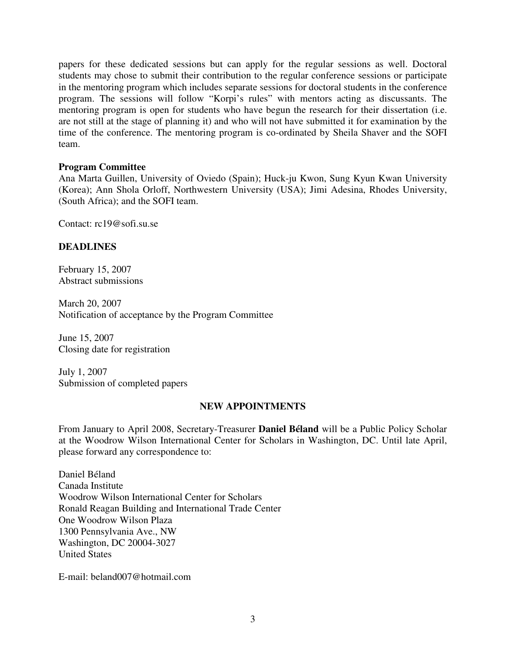papers for these dedicated sessions but can apply for the regular sessions as well. Doctoral students may chose to submit their contribution to the regular conference sessions or participate in the mentoring program which includes separate sessions for doctoral students in the conference program. The sessions will follow "Korpi's rules" with mentors acting as discussants. The mentoring program is open for students who have begun the research for their dissertation (i.e. are not still at the stage of planning it) and who will not have submitted it for examination by the time of the conference. The mentoring program is co-ordinated by Sheila Shaver and the SOFI team.

#### **Program Committee**

Ana Marta Guillen, University of Oviedo (Spain); Huck-ju Kwon, Sung Kyun Kwan University (Korea); Ann Shola Orloff, Northwestern University (USA); Jimi Adesina, Rhodes University, (South Africa); and the SOFI team.

Contact: rc19@sofi.su.se

# **DEADLINES**

February 15, 2007 Abstract submissions

March 20, 2007 Notification of acceptance by the Program Committee

June 15, 2007 Closing date for registration

July 1, 2007 Submission of completed papers

## **NEW APPOINTMENTS**

From January to April 2008, Secretary-Treasurer **Daniel Béland** will be a Public Policy Scholar at the Woodrow Wilson International Center for Scholars in Washington, DC. Until late April, please forward any correspondence to:

Daniel Béland Canada Institute Woodrow Wilson International Center for Scholars Ronald Reagan Building and International Trade Center One Woodrow Wilson Plaza 1300 Pennsylvania Ave., NW Washington, DC 20004-3027 United States

E-mail: beland007@hotmail.com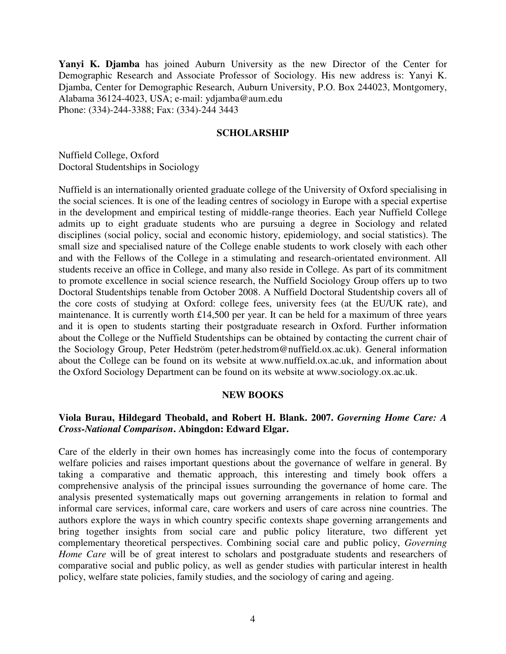**Yanyi K. Djamba** has joined Auburn University as the new Director of the Center for Demographic Research and Associate Professor of Sociology. His new address is: Yanyi K. Djamba, Center for Demographic Research, Auburn University, P.O. Box 244023, Montgomery, Alabama 36124-4023, USA; e-mail: ydjamba@aum.edu Phone: (334)-244-3388; Fax: (334)-244 3443

#### **SCHOLARSHIP**

Nuffield College, Oxford Doctoral Studentships in Sociology

Nuffield is an internationally oriented graduate college of the University of Oxford specialising in the social sciences. It is one of the leading centres of sociology in Europe with a special expertise in the development and empirical testing of middle-range theories. Each year Nuffield College admits up to eight graduate students who are pursuing a degree in Sociology and related disciplines (social policy, social and economic history, epidemiology, and social statistics). The small size and specialised nature of the College enable students to work closely with each other and with the Fellows of the College in a stimulating and research-orientated environment. All students receive an office in College, and many also reside in College. As part of its commitment to promote excellence in social science research, the Nuffield Sociology Group offers up to two Doctoral Studentships tenable from October 2008. A Nuffield Doctoral Studentship covers all of the core costs of studying at Oxford: college fees, university fees (at the EU/UK rate), and maintenance. It is currently worth £14,500 per year. It can be held for a maximum of three years and it is open to students starting their postgraduate research in Oxford. Further information about the College or the Nuffield Studentships can be obtained by contacting the current chair of the Sociology Group, Peter Hedström (peter.hedstrom@nuffield.ox.ac.uk). General information about the College can be found on its website at www.nuffield.ox.ac.uk, and information about the Oxford Sociology Department can be found on its website at www.sociology.ox.ac.uk.

#### **NEW BOOKS**

## **Viola Burau, Hildegard Theobald, and Robert H. Blank. 2007.** *Governing Home Care: A Cross-National Comparison***. Abingdon: Edward Elgar.**

Care of the elderly in their own homes has increasingly come into the focus of contemporary welfare policies and raises important questions about the governance of welfare in general. By taking a comparative and thematic approach, this interesting and timely book offers a comprehensive analysis of the principal issues surrounding the governance of home care. The analysis presented systematically maps out governing arrangements in relation to formal and informal care services, informal care, care workers and users of care across nine countries. The authors explore the ways in which country specific contexts shape governing arrangements and bring together insights from social care and public policy literature, two different yet complementary theoretical perspectives. Combining social care and public policy, *Governing Home Care* will be of great interest to scholars and postgraduate students and researchers of comparative social and public policy, as well as gender studies with particular interest in health policy, welfare state policies, family studies, and the sociology of caring and ageing.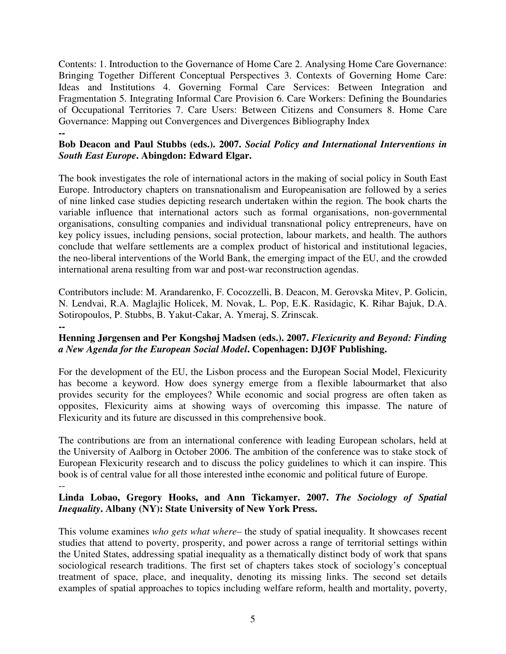Contents: 1. Introduction to the Governance of Home Care 2. Analysing Home Care Governance: Bringing Together Different Conceptual Perspectives 3. Contexts of Governing Home Care: Ideas and Institutions 4. Governing Formal Care Services: Between Integration and Fragmentation 5. Integrating Informal Care Provision 6. Care Workers: Defining the Boundaries of Occupational Territories 7. Care Users: Between Citizens and Consumers 8. Home Care Governance: Mapping out Convergences and Divergences Bibliography Index **--** 

# **Bob Deacon and Paul Stubbs (eds.). 2007.** *Social Policy and International Interventions in South East Europe***. Abingdon: Edward Elgar.**

The book investigates the role of international actors in the making of social policy in South East Europe. Introductory chapters on transnationalism and Europeanisation are followed by a series of nine linked case studies depicting research undertaken within the region. The book charts the variable influence that international actors such as formal organisations, non-governmental organisations, consulting companies and individual transnational policy entrepreneurs, have on key policy issues, including pensions, social protection, labour markets, and health. The authors conclude that welfare settlements are a complex product of historical and institutional legacies, the neo-liberal interventions of the World Bank, the emerging impact of the EU, and the crowded international arena resulting from war and post-war reconstruction agendas.

Contributors include: M. Arandarenko, F. Cocozzelli, B. Deacon, M. Gerovska Mitev, P. Golicin, N. Lendvai, R.A. Maglajlic Holicek, M. Novak, L. Pop, E.K. Rasidagic, K. Rihar Bajuk, D.A. Sotiropoulos, P. Stubbs, B. Yakut-Cakar, A. Ymeraj, S. Zrinscak.

# **--**

# **Henning Jørgensen and Per Kongshøj Madsen (eds.). 2007.** *Flexicurity and Beyond: Finding a New Agenda for the European Social Model***. Copenhagen: DJØF Publishing.**

For the development of the EU, the Lisbon process and the European Social Model, Flexicurity has become a keyword. How does synergy emerge from a flexible labourmarket that also provides security for the employees? While economic and social progress are often taken as opposites, Flexicurity aims at showing ways of overcoming this impasse. The nature of Flexicurity and its future are discussed in this comprehensive book.

The contributions are from an international conference with leading European scholars, held at the University of Aalborg in October 2006. The ambition of the conference was to stake stock of European Flexicurity research and to discuss the policy guidelines to which it can inspire. This book is of central value for all those interested inthe economic and political future of Europe. --

# **Linda Lobao, Gregory Hooks, and Ann Tickamyer. 2007.** *The Sociology of Spatial Inequality***. Albany (NY): State University of New York Press.**

This volume examines *who gets what where–* the study of spatial inequality. It showcases recent studies that attend to poverty, prosperity, and power across a range of territorial settings within the United States, addressing spatial inequality as a thematically distinct body of work that spans sociological research traditions. The first set of chapters takes stock of sociology's conceptual treatment of space, place, and inequality, denoting its missing links. The second set details examples of spatial approaches to topics including welfare reform, health and mortality, poverty,